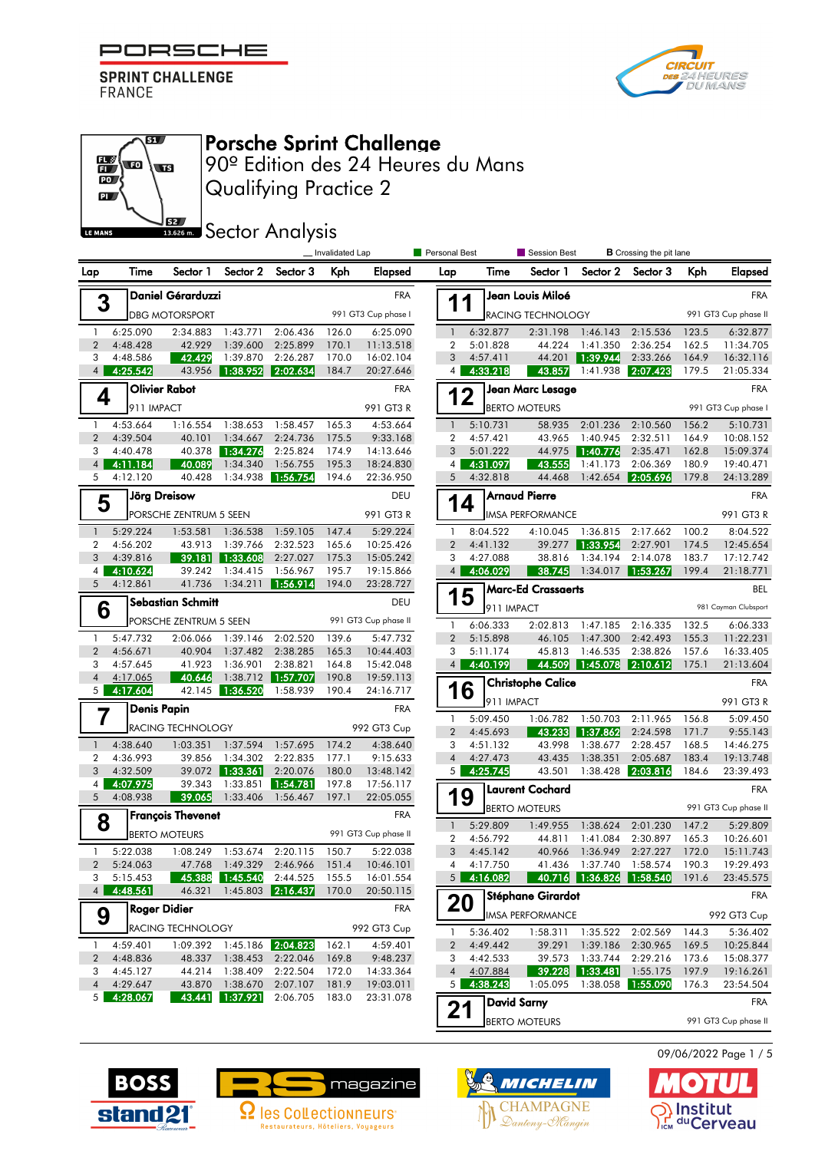

எ

 $\overline{\mathbf{w}}$ 

**S2** 

 $\mathbb{E}\left($  to

 $\overline{\mathbb{D}}$  $\mathbf{p}$ 

LE MANS



# Porsche Sprint Challenge

Qualifying Practice 2 90º Edition des 24 Heures du Mans

**SECTOR** Analysis

|                                  |                       | _Invalidated Lap         |                             |                                |                     |                                                       | <b>Personal Best</b>        |                            | Session Best              |                             | <b>B</b> Crossing the pit lane                             |                      |                        |  |  |
|----------------------------------|-----------------------|--------------------------|-----------------------------|--------------------------------|---------------------|-------------------------------------------------------|-----------------------------|----------------------------|---------------------------|-----------------------------|------------------------------------------------------------|----------------------|------------------------|--|--|
| Lap                              | Time                  | Sector 1                 | Sector 2                    | Sector 3                       | Kph                 | Elapsed                                               | Lap                         | Time                       | Sector 1                  | Sector 2                    | Sector 3                                                   | Kph                  | <b>Elapsed</b>         |  |  |
|                                  |                       | Daniel Gérarduzzi        |                             |                                |                     | <b>FRA</b>                                            |                             |                            | Jean Louis Miloé          |                             |                                                            |                      | <b>FRA</b>             |  |  |
| 3                                | <b>DBG MOTORSPORT</b> |                          |                             |                                | 991 GT3 Cup phase I |                                                       | 1<br>1<br>RACING TECHNOLOGY |                            |                           |                             |                                                            | 991 GT3 Cup phase II |                        |  |  |
| 1                                | 6:25.090              | 2:34.883                 | 1:43.771                    | 2:06.436                       | 126.0               | 6:25.090                                              | $\mathbf{1}$                | 6:32.877                   | 2:31.198                  | 1:46.143                    | 2:15.536                                                   | 123.5                | 6:32.877               |  |  |
| $\overline{2}$                   | 4:48.428              | 42.929                   | 1:39.600                    | 2:25.899                       | 170.1               | 11:13.518                                             | 2                           | 5:01.828                   | 44.224                    | 1:41.350                    | 2:36.254                                                   | 162.5                | 11:34.705              |  |  |
| 3                                | 4:48.586              | 42.429                   | 1:39.870                    | 2:26.287                       | 170.0               | 16:02.104                                             | 3                           | 4:57.411                   | 44.201                    | 1:39.944                    | 2:33.266                                                   | 164.9                | 16:32.116              |  |  |
| $\overline{4}$                   | 4:25.542              | 43.956                   | 1:38.952                    | 2:02.634                       | 184.7               | 20:27.646                                             | 4                           | 4:33.218                   | 43.857                    | 1:41.938                    | 2:07.423                                                   | 179.5                | 21:05.334              |  |  |
| 4                                |                       | <b>Olivier Rabot</b>     |                             |                                |                     | <b>FRA</b>                                            |                             | Jean Marc Lesage<br>12     |                           |                             |                                                            | <b>FRA</b>           |                        |  |  |
|                                  | 911 IMPACT            |                          |                             |                                |                     | 991 GT3 R                                             |                             |                            | <b>BERTO MOTEURS</b>      |                             |                                                            |                      | 991 GT3 Cup phase I    |  |  |
| $\mathbf{1}$                     | 4:53.664              | 1:16.554                 | 1:38.653                    | 1:58.457                       | 165.3               | 4:53.664                                              | $\mathbf{1}$                | 5:10.731                   | 58.935                    | 2:01.236                    | 2:10.560                                                   | 156.2                | 5:10.731               |  |  |
| $\overline{2}$                   | 4:39.504              | 40.101                   | 1:34.667                    | 2:24.736                       | 175.5               | 9:33.168                                              | $\overline{2}$<br>3         | 4:57.421                   | 43.965<br>44.975          | 1:40.945<br>  1:40.776      | 2:32.511                                                   | 164.9                | 10:08.152              |  |  |
| 3<br>$\overline{4}$              | 4:40.478<br>4:11.184  | 40.378<br>40.089         | 1:34.276<br>1:34.340        | 2:25.824<br>1:56.755           | 174.9<br>195.3      | 14:13.646<br>18:24.830                                | $\overline{4}$              | 5:01.222<br>4:31.097       | 43.555                    | 1:41.173                    | 2:35.471<br>2:06.369                                       | 162.8<br>180.9       | 15:09.374<br>19:40.471 |  |  |
| 5                                | 4:12.120              | 40.428                   | 1:34.938                    | 1:56.754                       | 194.6               | 22:36.950                                             | 5                           | 4:32.818                   | 44.468                    | 1:42.654                    | 2:05.696                                                   | 179.8                | 24:13.289              |  |  |
|                                  |                       | Jörg Dreisow             |                             |                                |                     | DEU                                                   |                             |                            | <b>Arnaud Pierre</b>      |                             |                                                            |                      | <b>FRA</b>             |  |  |
| 5                                |                       | PORSCHE ZENTRUM 5 SEEN   |                             |                                |                     | 991 GT3 R                                             | 14                          |                            | <b>IMSA PERFORMANCE</b>   |                             | 991 GT3 R                                                  |                      |                        |  |  |
|                                  |                       |                          |                             |                                |                     |                                                       |                             |                            |                           |                             |                                                            |                      |                        |  |  |
| $\mathbf{1}$<br>$\overline{2}$   | 5:29.224<br>4:56.202  | 1:53.581<br>43.913       | 1:36.538<br>1:39.766        | 1:59.105<br>2:32.523           | 147.4<br>165.6      | 5:29.224<br>10:25.426                                 | 1<br>$\overline{2}$         | 8:04.522<br>4:41.132       | 4:10.045<br>39.277        | 1:36.815<br>1:33.954        | 2:17.662<br>2:27.901                                       | 100.2<br>174.5       | 8:04.522<br>12:45.654  |  |  |
| 3                                | 4:39.816              | 39.181                   | 1:33.608                    | 2:27.027                       | 175.3               | 15:05.242                                             | 3                           | 4:27.088                   | 38.816                    | 1:34.194                    | 2:14.078                                                   | 183.7                | 17:12.742              |  |  |
| 4                                | 4:10.624              | 39.242                   | 1:34.415                    | 1:56.967                       | 195.7               | 19:15.866                                             | $\overline{4}$              | 4:06.029                   | 38.745                    | 1:34.017                    | 1:53.267                                                   | 199.4                | 21:18.771              |  |  |
| 5                                | 4:12.861              | 41.736                   | 1:34.211                    | 1:56.914                       | 194.0               | 23:28.727                                             |                             |                            | <b>Marc-Ed Crassaerts</b> |                             |                                                            |                      | <b>BEL</b>             |  |  |
| <b>Sebastian Schmitt</b><br>6    |                       |                          |                             |                                |                     | DEU                                                   | 1                           | 5<br>911 IMPACT            |                           |                             |                                                            |                      | 981 Cayman Clubsport   |  |  |
|                                  |                       | PORSCHE ZENTRUM 5 SEEN   |                             |                                |                     | 991 GT3 Cup phase II                                  | $\mathbf{1}$                | 6:06.333                   | 2:02.813                  | 1:47.185                    | 2:16.335                                                   | 132.5                | 6:06.333               |  |  |
| 1                                | 5:47.732              | 2:06.066                 | 1:39.146                    | 2:02.520                       | 139.6               | 5:47.732                                              | $\overline{2}$              | 5:15.898                   | 46.105                    | 1:47.300                    | 2:42.493                                                   | 155.3                | 11:22.231              |  |  |
| $\overline{2}$                   | 4:56.671              | 40.904                   | 1:37.482                    | 2:38.285                       | 165.3               | 10:44.403                                             | 3                           | 5:11.174                   | 45.813                    | 1:46.535                    | 2:38.826                                                   | 157.6                | 16:33.405              |  |  |
| 3                                | 4:57.645              | 41.923                   | 1:36.901                    | 2:38.821                       | 164.8               | 15:42.048                                             | 4                           | 4:40.199                   | 44.509                    | 1:45.078                    | 2:10.612                                                   | 175.1                | 21:13.604              |  |  |
| $\overline{4}$<br>5 <sub>1</sub> | 4:17.065              | 40.646                   | 1:38.712                    | 1:57.707                       | 190.8               | 19:59.113                                             |                             |                            | <b>Christophe Calice</b>  |                             |                                                            |                      | <b>FRA</b>             |  |  |
|                                  | 4:17.604              | 42.145                   | 1:36.520                    | 1:58.939                       | 190.4               | 24:16.717                                             | 16                          | 911 IMPACT                 |                           |                             |                                                            |                      | 991 GT3 R              |  |  |
| 7                                | <b>Denis Papin</b>    |                          |                             |                                |                     | <b>FRA</b>                                            | $\mathbf{1}$                | 5:09.450                   | 1:06.782                  | 1:50.703                    | 2:11.965                                                   | 156.8                | 5:09.450               |  |  |
|                                  |                       | <b>RACING TECHNOLOGY</b> |                             |                                |                     | 992 GT3 Cup                                           | $\overline{2}$              | 4:45.693                   | 43.233                    | 1:37.862                    | 2:24.598                                                   | 171.7                | 9:55.143               |  |  |
| $\mathbf{1}$                     | 4:38.640              | 1:03.351                 | 1:37.594                    | 1:57.695                       | 174.2               | 4:38.640                                              | 3                           | 4:51.132                   | 43.998                    | 1:38.677                    | 2:28.457                                                   | 168.5                | 14:46.275              |  |  |
| 2                                | 4:36.993              | 39.856                   | 1:34.302                    | 2:22.835                       | 177.1               | 9:15.633                                              | $\overline{4}$              | 4:27.473                   | 43.435                    | 1:38.351                    | 2:05.687                                                   | 183.4                | 19:13.748              |  |  |
| 3<br>4                           | 4:32.509<br>4:07.975  | 39.343                   | 39.072 1:33.361<br>1:33.851 | 2:20.076<br>1:54.781           | 180.0<br>197.8      | 13:48.142<br>17:56.117                                | 5 <sub>1</sub>              | 4:25.745                   | 43.501                    | 1:38.428                    | 2:03.816                                                   | 184.6                | 23:39.493              |  |  |
| 5                                | 4:08.938              | 39.065                   | 1:33.406                    | 1:56.467                       | 197.1               | 22:05.055                                             | 19                          |                            | Laurent Cochard           |                             |                                                            |                      | <b>FRA</b>             |  |  |
|                                  |                       | <b>François Thevenet</b> |                             |                                |                     | <b>FRA</b>                                            |                             |                            | <b>BERTO MOTEURS</b>      |                             |                                                            |                      | 991 GT3 Cup phase II   |  |  |
| 8                                |                       |                          |                             |                                |                     | 991 GT3 Cup phase II                                  | $\mathbf{1}$                | 5:29.809                   | 1:49.955                  | 1:38.624                    | 2:01.230                                                   | 147.2                | 5:29.809               |  |  |
|                                  |                       | <b>BERTO MOTEURS</b>     |                             |                                |                     |                                                       | 2                           | 4:56.792                   | 44.811                    | 1:41.084                    | 2:30.897                                                   | 165.3                | 10:26.601              |  |  |
| $\mathbf{1}$                     | 5:22.038              |                          | 1:08.249 1:53.674 2:20.115  |                                | 150.7               | 5:22.038                                              | 3                           | 4:45.142                   | 40.966                    | 1:36.949                    | 2:27.227                                                   | 172.0                | 15:11.743              |  |  |
| $2^{\circ}$<br>3                 | 5:24.063<br>5:15.453  |                          |                             | 45.388 1:45.540 2:44.525 155.5 |                     | 47.768 1:49.329 2:46.966 151.4 10:46.101<br>16:01.554 |                             | 4 4:17.750<br>$5$ 4:16.082 |                           |                             | 41.436 1:37.740 1:58.574 190.3<br>40.716 1:36.826 1:58.540 | 191.6                | 19:29.493<br>23:45.575 |  |  |
| 4 <sup>1</sup>                   | 4:48.561              | 46.321                   | $1:45.803$ 2:16.437         |                                | 170.0               | 20:50.115                                             |                             |                            |                           |                             |                                                            |                      |                        |  |  |
|                                  | <b>Roger Didier</b>   |                          |                             |                                |                     | <b>FRA</b>                                            | 20                          |                            | Stéphane Girardot         |                             |                                                            |                      | <b>FRA</b>             |  |  |
| 9<br>RACING TECHNOLOGY           |                       |                          |                             |                                | 992 GT3 Cup         |                                                       |                             | <b>IMSA PERFORMANCE</b>    |                           |                             |                                                            | 992 GT3 Cup          |                        |  |  |
|                                  |                       |                          |                             |                                |                     |                                                       | 1                           | 5:36.402                   |                           |                             | 1:58.311 1:35.522 2:02.569 144.3                           |                      | 5:36.402               |  |  |
| $\mathbf{1}$<br>2                | 4:59.401<br>4:48.836  | 1:09.392<br>48.337       | 1:45.186 2:04.823           | 1:38.453 2:22.046              | 162.1<br>169.8      | 4:59.401<br>9:48.237                                  | $\overline{2}$<br>3         | 4:49.442<br>4:42.533       | 39.291                    | 1:39.186<br>39.573 1:33.744 | 2:30.965<br>2:29.216                                       | 169.5<br>173.6       | 10:25.844<br>15:08.377 |  |  |
| 3                                | 4:45.127              | 44.214                   | 1:38.409                    | 2:22.504                       | 172.0               | 14:33.364                                             |                             | 4 4:07.884                 |                           |                             | 1:55.175                                                   | 197.9                | 19:16.261              |  |  |
| $\overline{4}$                   | 4:29.647              | 43.870                   | 1:38.670                    | 2:07.107                       | 181.9               | 19:03.011                                             | 5 <sub>1</sub>              | 4:38.243                   | 1:05.095                  |                             |                                                            | 176.3                | 23:54.504              |  |  |
|                                  | $5$ 4:28.067          |                          | 43.441 1:37.921             | 2:06.705                       | 183.0               | 23:31.078                                             |                             |                            | <b>David Sarny</b>        |                             |                                                            |                      | <b>FRA</b>             |  |  |
|                                  |                       |                          |                             |                                |                     |                                                       | 21                          |                            | <b>BERTO MOTEURS</b>      |                             |                                                            |                      | 991 GT3 Cup phase II   |  |  |
|                                  |                       |                          |                             |                                |                     |                                                       |                             |                            |                           |                             |                                                            |                      |                        |  |  |









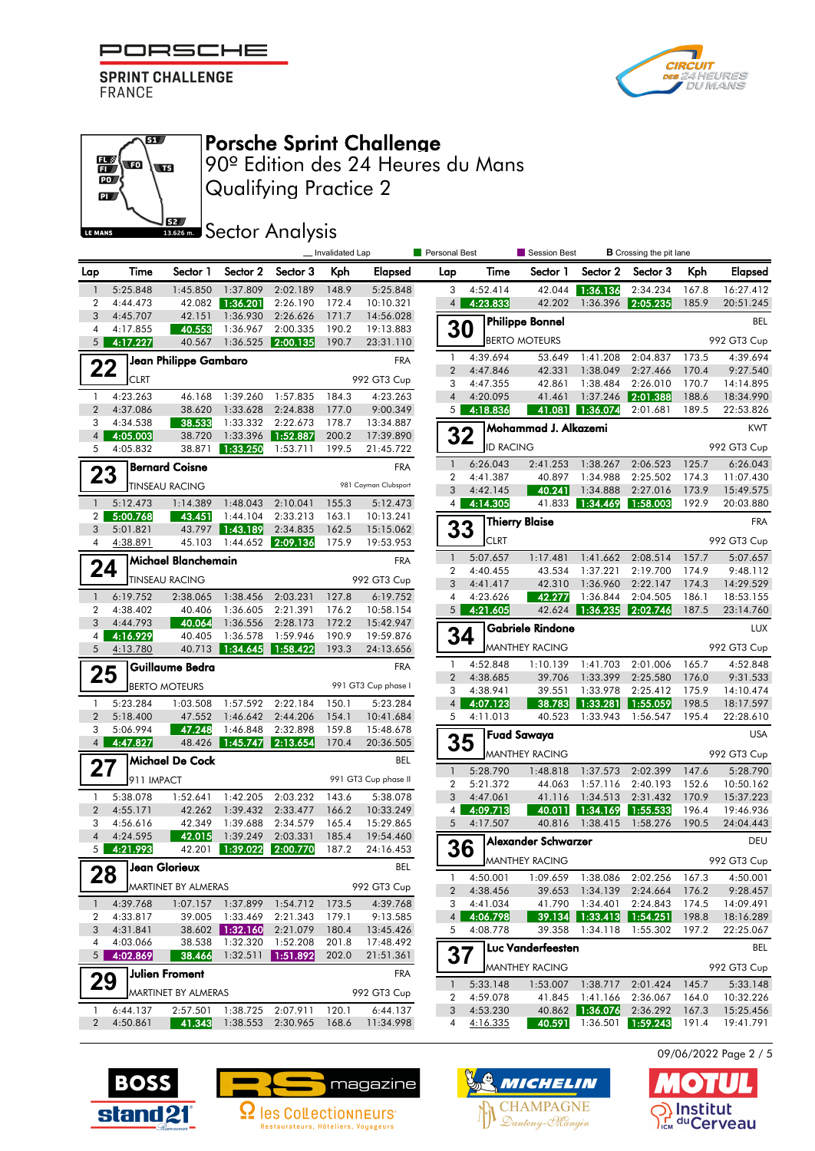



#### எ  $\mathbb{E}\left($  to **ST**  $\mathbf{D}$  $\mathbf{p}$ **S2** LE MANS

# Porsche Sprint Challenge

Qualifying Practice 2 90º Edition des 24 Heures du Mans

### **SECOLOGY** Analysis

|                     |                      |                            |                             |                            | _ Invalidated Lap |                        | <b>Personal Best</b> |                  | Session Best            |                   | <b>B</b> Crossing the pit lane |       |             |
|---------------------|----------------------|----------------------------|-----------------------------|----------------------------|-------------------|------------------------|----------------------|------------------|-------------------------|-------------------|--------------------------------|-------|-------------|
| Lap                 | Time                 | Sector 1                   | Sector 2                    | Sector 3                   | Kph               | Elapsed                | Lap                  | Time             | Sector 1                | Sector 2          | Sector 3                       | Kph   | Elapsed     |
| $\overline{1}$      | 5:25.848             | 1:45.850                   | 1:37.809                    | 2:02.189                   | 148.9             | 5:25.848               | 3                    | 4:52.414         | 42.044                  | 1:36.136          | 2:34.234                       | 167.8 | 16:27.412   |
| $\overline{2}$<br>3 | 4:44.473             | 42.082                     | 1:36.201                    | 2:26.190                   | 172.4             | 10:10.321              | 4                    | 4:23.833         | 42.202                  | 1:36.396          | 2:05.235                       | 185.9 | 20:51.245   |
| 4                   | 4:45.707<br>4:17.855 | 42.151<br>40.553           | 1:36.930<br>1:36.967        | 2:26.626<br>2:00.335       | 171.7<br>190.2    | 14:56.028<br>19:13.883 | 30                   |                  | <b>Philippe Bonnel</b>  |                   |                                |       | <b>BEL</b>  |
| 5 <sup>5</sup>      | 4:17.227             | 40.567                     | 1:36.525                    | 2:00.135                   | 190.7             | 23:31.110              |                      |                  | <b>BERTO MOTEURS</b>    |                   |                                |       | 992 GT3 Cup |
|                     |                      | Jean Philippe Gambaro      |                             |                            |                   | <b>FRA</b>             | 1                    | 4:39.694         | 53.649                  | 1:41.208          | 2:04.837                       | 173.5 | 4:39.694    |
| 22                  |                      |                            |                             |                            |                   |                        | $\overline{2}$       | 4:47.846         | 42.331                  | 1:38.049          | 2:27.466                       | 170.4 | 9:27.540    |
|                     | <b>CLRT</b>          |                            |                             |                            |                   | 992 GT3 Cup            | 3                    | 4:47.355         | 42.861                  | 1:38.484          | 2:26.010                       | 170.7 | 14:14.895   |
| $\mathbf{1}$        | 4:23.263             | 46.168                     | 1:39.260                    | 1:57.835                   | 184.3             | 4:23.263               | $\overline{4}$       | 4:20.095         | 41.461                  | 1:37.246          | 2:01.388                       | 188.6 | 18:34.990   |
| $\overline{2}$<br>3 | 4:37.086<br>4:34.538 | 38.620<br>38.533           | 1:33.628<br>1:33.332        | 2:24.838<br>2:22.673       | 177.0<br>178.7    | 9:00.349<br>13:34.887  | 5 <sup>1</sup>       | 4:18.836         | 41.081                  | 1:36.074          | 2:01.681                       | 189.5 | 22:53.826   |
| $\overline{4}$      | 4:05.003             | 38.720                     | 1:33.396                    | 1:52.887                   | 200.2             | 17:39.890              | 32                   |                  | Mohammad J. Alkazemi    |                   |                                |       | <b>KWT</b>  |
| 5                   | 4:05.832             | 38.871                     | 1:33.250                    | 1:53.711                   | 199.5             | 21:45.722              |                      | <b>ID RACING</b> |                         |                   |                                |       | 992 GT3 Cup |
|                     |                      | <b>Bernard Coisne</b>      |                             |                            |                   | <b>FRA</b>             | $\mathbf{1}$         | 6:26.043         | 2:41.253                | 1:38.267          | 2:06.523                       | 125.7 | 6:26.043    |
| 23                  |                      |                            |                             |                            |                   | 981 Cayman Clubsport   | 2                    | 4:41.387         | 40.897                  | 1:34.988          | 2:25.502                       | 174.3 | 11:07.430   |
|                     |                      | <b>TINSEAU RACING</b>      |                             |                            |                   |                        | 3                    | 4:42.145         | 40.241                  | 1:34.888          | 2:27.016                       | 173.9 | 15:49.575   |
| $\mathbf{1}$        | 5:12.473             | 1:14.389                   | 1:48.043                    | 2:10.041                   | 155.3             | 5:12.473               | $\overline{4}$       | 4:14.305         | 41.833                  | 1:34.469          | 1:58.003                       | 192.9 | 20:03.880   |
| 2 <sub>1</sub><br>3 | 5:00.768             | 43.451<br>43.797           | 1:44.104<br>1:43.189        | 2:33.213<br>2:34.835       | 163.1             | 10:13.241<br>15:15.062 |                      |                  | <b>Thierry Blaise</b>   |                   |                                |       | <b>FRA</b>  |
| 4                   | 5:01.821<br>4:38.891 | 45.103                     | 1:44.652                    | 2:09.136                   | 162.5<br>175.9    | 19:53.953              | 33                   | <b>CLRT</b>      |                         |                   |                                |       | 992 GT3 Cup |
|                     |                      | Michael Blanchemain        |                             |                            |                   | <b>FRA</b>             | $\mathbf{1}$         | 5:07.657         | 1:17.481                | 1:41.662          | 2:08.514                       | 157.7 | 5:07.657    |
| 24                  |                      |                            |                             |                            |                   |                        | $\overline{2}$       | 4:40.455         | 43.534                  | 1:37.221          | 2:19.700                       | 174.9 | 9:48.112    |
|                     |                      | <b>TINSEAU RACING</b>      |                             |                            |                   | 992 GT3 Cup            | 3                    | 4:41.417         | 42.310                  | 1:36.960          | 2:22.147                       | 174.3 | 14:29.529   |
| $\mathbf{1}$        | 6:19.752             | 2:38.065                   | 1:38.456                    | 2:03.231                   | 127.8             | 6:19.752               | 4                    | 4:23.626         | 42.277                  | 1:36.844          | 2:04.505                       | 186.1 | 18:53.155   |
| 2                   | 4:38.402             | 40.406                     | 1:36.605                    | 2:21.391                   | 176.2             | 10:58.154              | 5 <sup>1</sup>       | 4:21.605         | 42.624                  | 1:36.235          | 2:02.746                       | 187.5 | 23:14.760   |
| 3<br>4              | 4:44.793<br>4:16.929 | 40.064<br>40.405           | 1:36.556<br>1:36.578        | 2:28.173<br>1:59.946       | 172.2<br>190.9    | 15:42.947<br>19:59.876 | 34                   |                  | <b>Gabriele Rindone</b> |                   |                                |       | <b>LUX</b>  |
| 5                   | 4:13.780             | 40.713                     | 1:34.645                    | 1:58.422                   | 193.3             | 24:13.656              |                      |                  | <b>MANTHEY RACING</b>   |                   |                                |       | 992 GT3 Cup |
|                     |                      | Guillaume Bedra            |                             |                            |                   | <b>FRA</b>             | $\mathbf{1}$         | 4:52.848         | 1:10.139                | 1:41.703          | 2:01.006                       | 165.7 | 4:52.848    |
| 25                  |                      |                            |                             |                            |                   |                        | $\overline{2}$       | 4:38.685         | 39.706                  | 1:33.399          | 2:25.580                       | 176.0 | 9:31.533    |
|                     |                      | <b>BERTO MOTEURS</b>       |                             |                            |                   | 991 GT3 Cup phase I    | 3                    | 4:38.941         | 39.551                  | 1:33.978          | 2:25.412                       | 175.9 | 14:10.474   |
| $\mathbf{1}$        | 5:23.284             | 1:03.508                   | 1:57.592                    | 2:22.184                   | 150.1             | 5:23.284               | $\overline{4}$       | 4:07.123         | 38.783                  | 1:33.281          | 1:55.059                       | 198.5 | 18:17.597   |
| $\overline{2}$<br>3 | 5:18.400<br>5:06.994 | 47.552<br>47.248           | 1:46.642<br>1:46.848        | 2:44.206<br>2:32.898       | 154.1<br>159.8    | 10:41.684<br>15:48.678 | 5                    | 4:11.013         | 40.523                  | 1:33.943          | 1:56.547                       | 195.4 | 22:28.610   |
| 4 <sup>1</sup>      | 4:47.827             | 48.426                     | 1:45.747                    | 2:13.654                   | 170.4             | 20:36.505              | 35                   |                  | <b>Fuad Sawaya</b>      |                   |                                |       | <b>USA</b>  |
|                     |                      | Michael De Cock            |                             |                            |                   | BEL                    |                      |                  | <b>MANTHEY RACING</b>   |                   |                                |       | 992 GT3 Cup |
| 27                  |                      |                            |                             |                            |                   |                        | $\mathbf{1}$         | 5:28.790         | 1:48.818                | 1:37.573          | 2:02.399                       | 147.6 | 5:28.790    |
|                     | 911 IMPACT           |                            |                             |                            |                   | 991 GT3 Cup phase II   | $\overline{2}$       | 5:21.372         | 44.063                  | 1:57.116          | 2:40.193                       | 152.6 | 10:50.162   |
| $\mathbf{1}$        | 5:38.078             | 1:52.641                   | 1:42.205                    | 2:03.232                   | 143.6             | 5:38.078               | 3                    | 4:47.061         | 41.116                  | 1:34.513          | 2:31.432                       | 170.9 | 15:37.223   |
| $\overline{2}$      | 4:55.171             | 42.262                     | 1:39.432                    | 2:33.477                   | 166.2             | 10:33.249              | $\overline{4}$       | 4:09.713         |                         | 40.011 1:34.169   | 1:55.533                       | 196.4 | 19:46.936   |
| 3<br>$\overline{4}$ | 4:56.616<br>4:24.595 | 42.349<br>42.015           | 1:39.688<br>1:39.249        | 2:34.579<br>2:03.331       | 165.4<br>185.4    | 15:29.865<br>19:54.460 | 5                    | 4:17.507         | 40.816                  | 1:38.415          | 1:58.276                       | 190.5 | 24:04.443   |
| 5 <sub>1</sub>      | 4:21.993             | 42.201                     | 1:39.022                    | 2:00.770                   | 187.2             | 24:16.453              | 36                   |                  | Alexander Schwarzer     |                   |                                |       | DEU         |
|                     |                      | Jean Glorieux              |                             |                            |                   | BEL                    |                      |                  | MANTHEY RACING          |                   |                                |       | 992 GT3 Cup |
| 28                  |                      |                            |                             |                            |                   |                        | $\mathbf{1}$         | 4:50.001         |                         |                   | 1:09.659 1:38.086 2:02.256     | 167.3 | 4:50.001    |
|                     |                      | MARTINET BY ALMERAS        |                             |                            |                   | 992 GT3 Cup            |                      | 2 4:38.456       |                         | 39.653 1:34.139   | 2:24.664                       | 176.2 | 9:28.457    |
| $\mathbf{1}$        | 4:39.768             |                            |                             | 1:07.157 1:37.899 1:54.712 | 173.5             | 4:39.768               |                      | 3 4:41.034       |                         |                   | 41.790 1:34.401 2:24.843       | 174.5 | 14:09.491   |
| $\mathbf{2}$        | 4:33.817             |                            | 39.005 1:33.469             | 2:21.343                   | 179.1             | 9:13.585               | 4 <sup>1</sup>       | 4:06.798         |                         |                   |                                | 198.8 | 18:16.289   |
| 3<br>$\overline{4}$ | 4:31.841<br>4:03.066 | 38.538                     | 38.602 1:32.160<br>1:32.320 | 2:21.079<br>1:52.208       | 180.4<br>201.8    | 13:45.426<br>17:48.492 | 5                    | 4:08.778         | 39.358                  |                   | 1:34.118 1:55.302              | 197.2 | 22:25.067   |
|                     | $5$ 4:02.869         | 38.466                     | 1:32.511                    | 1:51.892                   | 202.0             | 21:51.361              | 37                   |                  | Luc Vanderfeesten       |                   |                                |       | <b>BEL</b>  |
|                     |                      | <b>Julien Froment</b>      |                             |                            |                   | FRA                    |                      |                  | <b>MANTHEY RACING</b>   |                   |                                |       | 992 GT3 Cup |
| 29                  |                      |                            |                             |                            |                   |                        | $\mathbf{1}$         | 5:33.148         |                         | 1:53.007 1:38.717 | 2:01.424                       | 145.7 | 5:33.148    |
|                     |                      | <b>MARTINET BY ALMERAS</b> |                             |                            |                   | 992 GT3 Cup            | 2                    | 4:59.078         |                         | 41.845 1:41.166   | 2:36.067                       | 164.0 | 10:32.226   |
| $\mathbf{1}$        | 6:44.137             | 2:57.501                   |                             | 1:38.725 2:07.911          | 120.1             | 6:44.137               | 3 <sup>1</sup>       | 4:53.230         |                         | 40.862 1:36.076   | 2:36.292                       | 167.3 | 15:25.456   |
| $\mathbf{2}$        | 4:50.861             |                            | 41.343 1:38.553 2:30.965    |                            | 168.6             | 11:34.998              | 4                    | 4:16.335         |                         |                   | 40.591 1:36.501 1:59.243       | 191.4 | 19:41.791   |







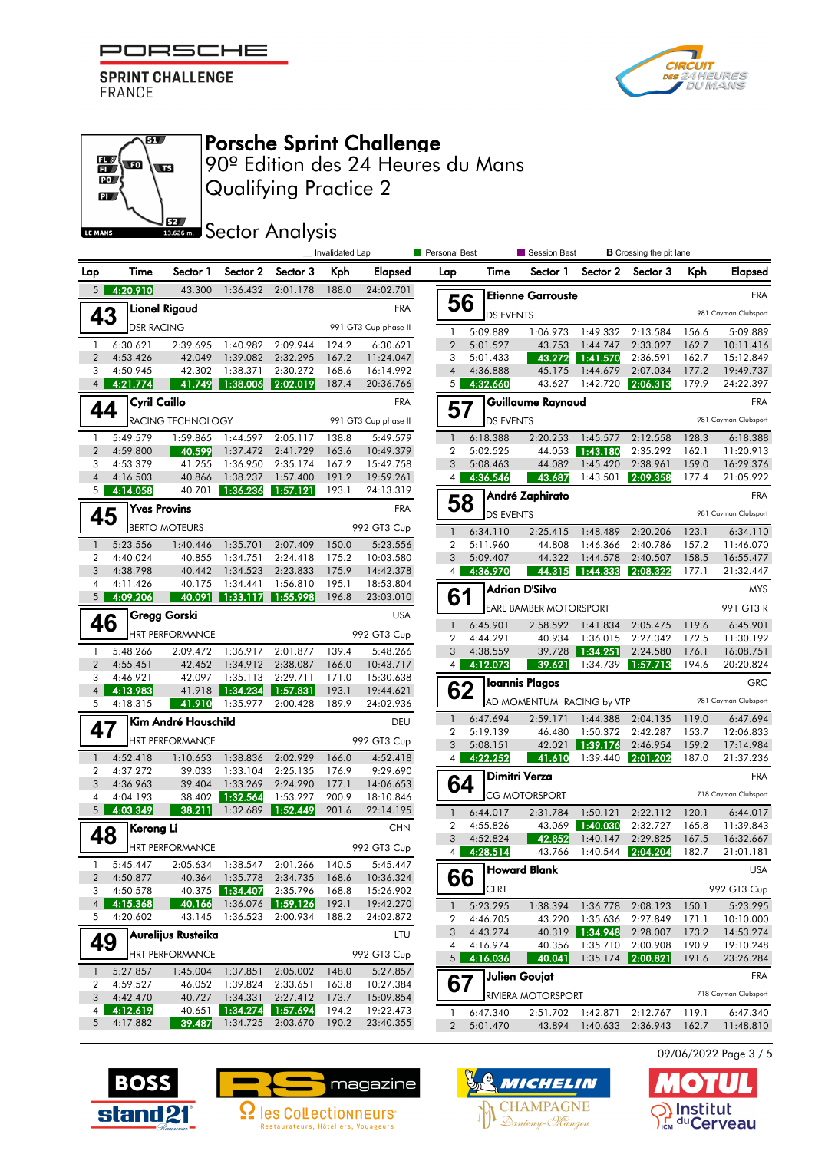

எ

Œ

**S2** 

 $\mathbb{E}\left($  to

PO<sub>J</sub>  $\mathbf{p}$ 

LE MANS



# Porsche Sprint Challenge

Qualifying Practice 2 90º Edition des 24 Heures du Mans

**SECTOR** Analysis

|                                  |    | Invalidated Lap      |                        |                      |                                  |                | Personal Best<br><b>B</b> Crossing the pit lane<br>Session Best |                                  |                      |                               |                               |                          |                |                        |  |  |
|----------------------------------|----|----------------------|------------------------|----------------------|----------------------------------|----------------|-----------------------------------------------------------------|----------------------------------|----------------------|-------------------------------|-------------------------------|--------------------------|----------------|------------------------|--|--|
| Lap                              |    | Time                 | Sector 1               | Sector 2             | Sector 3                         | Kph            | Elapsed                                                         | Lap                              | Time                 | Sector 1                      | Sector 2                      | Sector 3                 | Kph            | <b>Elapsed</b>         |  |  |
| 5 <sup>1</sup>                   |    | 4:20.910             | 43.300                 | 1:36.432             | 2:01.178                         | 188.0          | 24:02.701                                                       |                                  |                      | <b>Etienne Garrouste</b>      |                               |                          |                | <b>FRA</b>             |  |  |
|                                  | 43 |                      | <b>Lionel Rigaud</b>   |                      |                                  |                | <b>FRA</b>                                                      | 56                               | <b>DS EVENTS</b>     |                               |                               |                          |                | 981 Cayman Clubsport   |  |  |
|                                  |    | <b>DSR RACING</b>    |                        |                      |                                  |                | 991 GT3 Cup phase II                                            | 1                                | 5:09.889             | 1:06.973                      | 1:49.332                      | 2:13.584                 | 156.6          | 5:09.889               |  |  |
| $\mathbf{1}$                     |    | 6:30.621             | 2:39.695               | 1:40.982             | 2:09.944                         | 124.2          | 6:30.621                                                        | $\overline{2}$                   | 5:01.527             | 43.753                        | 1:44.747                      | 2:33.027                 | 162.7          | 10:11.416              |  |  |
| $\overline{2}$                   |    | 4:53.426             | 42.049                 | 1:39.082             | 2:32.295                         | 167.2          | 11:24.047                                                       | 3                                | 5:01.433             | 43.272                        | 1:41.570                      | 2:36.591                 | 162.7          | 15:12.849              |  |  |
| 3                                |    | 4:50.945             | 42.302                 | 1:38.371             | 2:30.272                         | 168.6          | 16:14.992                                                       | $\overline{4}$                   | 4:36.888             | 45.175                        | 1:44.679                      | 2:07.034                 | 177.2          | 19:49.737              |  |  |
| 4                                |    | 4:21.774             | 41.749                 | 1:38.006             | 2:02.019                         | 187.4          | 20:36.766                                                       | 5                                | 4:32.660             | 43.627                        | 1:42.720                      | 2:06.313                 | 179.9          | 24:22.397              |  |  |
|                                  | 44 | <b>Cyril Caillo</b>  |                        |                      |                                  |                | <b>FRA</b>                                                      | 57                               |                      | Guillaume Raynaud             |                               |                          | <b>FRA</b>     |                        |  |  |
|                                  |    |                      | RACING TECHNOLOGY      |                      |                                  |                | 991 GT3 Cup phase II                                            |                                  | <b>DS EVENTS</b>     |                               |                               |                          |                | 981 Cayman Clubsport   |  |  |
| -1                               |    | 5:49.579             | 1:59.865               | 1:44.597             | 2:05.117                         | 138.8          | 5:49.579                                                        | $\mathbf{1}$                     | 6:18.388             | 2:20.253                      | 1:45.577                      | 2:12.558                 | 128.3          | 6:18.388               |  |  |
| $\overline{2}$                   |    | 4:59.800             | 40.599                 | 1:37.472             | 2:41.729                         | 163.6          | 10:49.379                                                       | $\overline{2}$                   | 5:02.525             | 44.053                        | 1:43.180                      | 2:35.292                 | 162.1          | 11:20.913              |  |  |
| 3                                |    | 4:53.379             | 41.255                 | 1:36.950             | 2:35.174                         | 167.2          | 15:42.758                                                       | 3                                | 5:08.463             | 44.082                        | 1:45.420                      | 2:38.961                 | 159.0          | 16:29.376              |  |  |
| $\overline{4}$<br>5 <sup>1</sup> |    | 4:16.503<br>4:14.058 | 40.866<br>40.701       | 1:38.237<br>1:36.236 | 1:57.400<br>1:57.121             | 191.2<br>193.1 | 19:59.261<br>24:13.319                                          | 4                                | 4:36.546             | 43.687                        | 1:43.501                      | 2:09.358                 | 177.4          | 21:05.922              |  |  |
|                                  |    |                      | <b>Yves Provins</b>    |                      |                                  |                | <b>FRA</b>                                                      | 58                               |                      |                               | André Zaphirato<br><b>FRA</b> |                          |                |                        |  |  |
|                                  | 45 |                      | <b>BERTO MOTEURS</b>   |                      |                                  |                |                                                                 |                                  | <b>DS EVENTS</b>     |                               |                               |                          |                | 981 Cayman Clubsport   |  |  |
|                                  |    |                      |                        |                      |                                  |                | 992 GT3 Cup                                                     | $\mathbf{1}$                     | 6:34.110             | 2:25.415                      | 1:48.489                      | 2:20.206                 | 123.1          | 6:34.110               |  |  |
| $\mathbf{1}$                     |    | 5:23.556             | 1:40.446               | 1:35.701             | 2:07.409                         | 150.0          | 5:23.556                                                        | $\overline{2}$                   | 5:11.960             | 44.808                        | 1:46.366                      | 2:40.786                 | 157.2          | 11:46.070              |  |  |
| $\overline{2}$<br>3              |    | 4:40.024<br>4:38.798 | 40.855<br>40.442       | 1:34.751<br>1:34.523 | 2:24.418<br>2:23.833             | 175.2<br>175.9 | 10:03.580<br>14:42.378                                          | 3<br>4                           | 5:09.407<br>4:36.970 | 44.322<br>44.315              | 1:44.578<br>1:44.333          | 2:40.507<br>2:08.322     | 158.5<br>177.1 | 16:55.477<br>21:32.447 |  |  |
| 4                                |    | 4:11.426             | 40.175                 | 1:34.441             | 1:56.810                         | 195.1          | 18:53.804                                                       |                                  |                      | <b>Adrian D'Silva</b>         |                               |                          |                | <b>MYS</b>             |  |  |
| 5                                |    | 4:09.206             | 40.091                 | 1:33.117             | 1:55.998                         | 196.8          | 23:03.010                                                       | 61                               |                      |                               |                               |                          |                |                        |  |  |
|                                  | 46 |                      | Gregg Gorski           |                      |                                  |                | <b>USA</b>                                                      |                                  |                      | <b>EARL BAMBER MOTORSPORT</b> |                               |                          |                | 991 GT3 R              |  |  |
|                                  |    |                      | <b>HRT PERFORMANCE</b> |                      |                                  |                | 992 GT3 Cup                                                     | $\mathbf{1}$<br>$\overline{2}$   | 6:45.901<br>4:44.291 | 2:58.592<br>40.934            | 1:41.834<br>1:36.015          | 2:05.475<br>2:27.342     | 119.6<br>172.5 | 6:45.901<br>11:30.192  |  |  |
| $\mathbf{1}$                     |    | 5:48.266             | 2:09.472               | 1:36.917             | 2:01.877                         | 139.4          | 5:48.266                                                        | 3                                | 4:38.559             | 39.728                        | 1:34.251                      | 2:24.580                 | 176.1          | 16:08.751              |  |  |
| $\overline{2}$                   |    | 4:55.451             | 42.452                 | 1:34.912             | 2:38.087                         | 166.0          | 10:43.717                                                       | 4                                | 4:12.073             | 39.621                        | 1:34.739                      | 1:57.713                 | 194.6          | 20:20.824              |  |  |
| 3                                |    | 4:46.921             | 42.097                 | 1:35.113             | 2:29.711                         | 171.0          | 15:30.638                                                       |                                  |                      | <b>Ioannis Plagos</b>         |                               |                          |                | <b>GRC</b>             |  |  |
| $\overline{4}$                   |    | 4:13.983             | 41.918                 | 1:34.234             | 1:57.831                         | 193.1          | 19:44.621                                                       | 62                               |                      |                               |                               |                          |                |                        |  |  |
| 5                                |    | 4:18.315             | 41.910                 | 1:35.977             | 2:00.428                         | 189.9          | 24:02.936                                                       |                                  |                      | AD MOMENTUM RACING by VTP     |                               |                          |                | 981 Cayman Clubsport   |  |  |
|                                  | 47 |                      | Kim André Hauschild    |                      |                                  |                | DEU                                                             | $\overline{1}$<br>$\overline{2}$ | 6:47.694<br>5:19.139 | 2:59.171<br>46.480            | 1:44.388<br>1:50.372          | 2:04.135<br>2:42.287     | 119.0<br>153.7 | 6:47.694<br>12:06.833  |  |  |
|                                  |    |                      | <b>HRT PERFORMANCE</b> |                      |                                  |                | 992 GT3 Cup                                                     | 3                                | 5:08.151             | 42.021                        | 1:39.176                      | 2:46.954                 | 159.2          | 17:14.984              |  |  |
| $\mathbf{1}$                     |    | 4:52.418             | 1:10.653               | 1:38.836             | 2:02.929                         | 166.0          | 4:52.418                                                        | 4                                | 4:22.252             | 41.610                        | 1:39.440                      | 2:01.202                 | 187.0          | 21:37.236              |  |  |
| $\overline{2}$                   |    | 4:37.272             | 39.033                 | 1:33.104             | 2:25.135                         | 176.9          | 9:29.690                                                        |                                  |                      | Dimitri Verza                 |                               |                          |                | <b>FRA</b>             |  |  |
| 3                                |    | 4:36.963             | 39.404                 | 1:33.269             | 2:24.290                         | 177.1          | 14:06.653                                                       | 64                               |                      |                               |                               |                          |                |                        |  |  |
| 4                                |    | 4:04.193             | 38.402                 | 1:32.564             | 1:53.227                         | 200.9          | 18:10.846                                                       |                                  |                      | <b>CG MOTORSPORT</b>          |                               |                          |                | 718 Cayman Clubsport   |  |  |
| 5                                |    | 4:03.349             | 38.211                 | 1:32.689             | 1:52.449                         | 201.6          | 22:14.195                                                       | $\mathbf{1}$                     | 6:44.017             | 2:31.784                      | 1:50.121                      | 2:22.112                 | 120.1          | 6:44.017               |  |  |
|                                  | 48 | Kerong Li            |                        |                      |                                  |                | <b>CHN</b>                                                      | $\overline{2}$<br>3              | 4:55.826             | 43.069                        | 1:40.030                      | 2:32.727                 | 165.8          | 11:39.843              |  |  |
|                                  |    |                      | <b>HRT PERFORMANCE</b> |                      |                                  |                | 992 GT3 Cup                                                     | $\overline{4}$                   | 4:52.824<br>4:28.514 | 42.852<br>43.766              | 1:40.147<br>1:40.544          | 2:29.825<br>2:04.204     | 167.5<br>182.7 | 16:32.667<br>21:01.181 |  |  |
|                                  |    | 5:45.447             |                        |                      | 2:05.634 1:38.547 2:01.266 140.5 |                | 5:45.447                                                        |                                  |                      | Howard Blank                  |                               |                          |                | <b>USA</b>             |  |  |
| $\overline{2}$                   |    | 4:50.877             | 40.364                 | 1:35.778             | 2:34.735                         | 168.6          | 10:36.324                                                       | 66                               |                      |                               |                               |                          |                |                        |  |  |
| 3                                |    | 4:50.578             | 40.375                 | 1:34.407             | 2:35.796                         | 168.8          | 15:26.902                                                       |                                  | <b>CLRT</b>          |                               |                               |                          |                | 992 GT3 Cup            |  |  |
| 4                                | 5  | 4:15.368<br>4:20.602 | 40.166                 | 1:36.523             | 1:36.076 1:59.126                | 192.1          | 19:42.270                                                       | $\overline{1}$                   | 5:23.295             |                               | 1:38.394 1:36.778             | 2:08.123                 | 150.1          | 5:23.295               |  |  |
|                                  |    |                      | 43.145                 |                      | 2:00.934                         | 188.2          | 24:02.872                                                       | 2<br>3                           | 4:46.705<br>4:43.274 | 43.220                        | 1:35.636                      | 2:27.849<br>2:28.007     | 171.1<br>173.2 | 10:10.000              |  |  |
|                                  | 49 |                      | Aurelijus Rusteika     |                      |                                  |                | LTU                                                             | 4                                | 4:16.974             | 40.356                        | 40.319  1:34.948<br>1:35.710  | 2:00.908                 | 190.9          | 14:53.274<br>19:10.248 |  |  |
|                                  |    |                      | <b>HRT PERFORMANCE</b> |                      |                                  |                | 992 GT3 Cup                                                     |                                  | $5$ 4:16.036         | 40.041                        | 1:35.174                      | 2:00.821                 | 191.6          | 23:26.284              |  |  |
| $\mathbf{1}$                     |    | 5:27.857             | 1:45.004               | 1:37.851             | 2:05.002                         | 148.0          | 5:27.857                                                        |                                  |                      | Julien Goujat                 |                               |                          |                | <b>FRA</b>             |  |  |
| 2                                |    | 4:59.527             | 46.052                 | 1:39.824             | 2:33.651                         | 163.8          | 10:27.384                                                       | 67                               |                      |                               |                               |                          |                | 718 Cayman Clubsport   |  |  |
| 3<br>4 <sup>1</sup>              |    | 4:42.470<br>4:12.619 | 40.727<br>40.651       | 1:34.331<br>1:34.274 | 2:27.412<br>1:57.694             | 173.7<br>194.2 | 15:09.854<br>19:22.473                                          |                                  |                      | <b>RIVIERA MOTORSPORT</b>     |                               | 2:12.767 119.1           |                |                        |  |  |
| 5                                |    | 4:17.882             | 39.487                 |                      | 1:34.725 2:03.670                | 190.2          | 23:40.355                                                       | 1<br>$\overline{2}$              | 6:47.340<br>5:01.470 | 2:51.702                      | 1:42.871                      | 43.894 1:40.633 2:36.943 | 162.7          | 6:47.340<br>11:48.810  |  |  |
|                                  |    |                      |                        |                      |                                  |                |                                                                 |                                  |                      |                               |                               |                          |                |                        |  |  |



 $\bullet$ 

nstitut S<sub>ICM</sub> du Cerveau





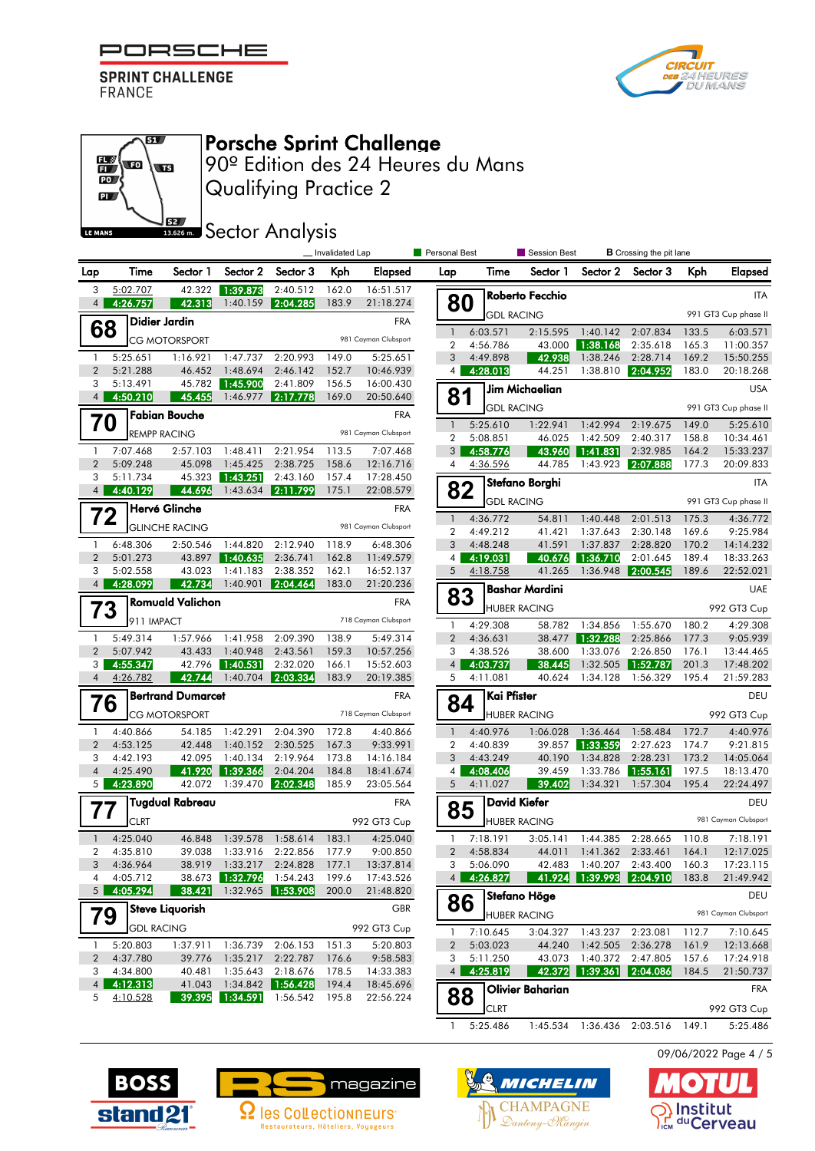



#### எ  $\mathbb{E}\left($  to **ST** PO<sub>J</sub>  $\mathbf{p}$ **S2** LE MANS

Porsche Sprint Challenge

Qualifying Practice 2 90º Edition des 24 Heures du Mans

**SECOLOGY** Analysis

|                                |                               |                          |                      | _Invalidated Lap               |                | <b>Personal Best</b>   |                                | Session Best         |                         | <b>B</b> Crossing the pit lane |                                |                |                        |
|--------------------------------|-------------------------------|--------------------------|----------------------|--------------------------------|----------------|------------------------|--------------------------------|----------------------|-------------------------|--------------------------------|--------------------------------|----------------|------------------------|
| Lap                            | Time                          | Sector 1                 | Sector 2             | Sector 3                       | Kph            | Elapsed                | Lap                            | Time                 | Sector 1                | Sector 2                       | Sector 3                       | <b>Kph</b>     | <b>Elapsed</b>         |
| 3                              | 5:02.707                      | 42.322                   | 1:39.873             | 2:40.512                       | 162.0          | 16:51.517              |                                |                      | Roberto Fecchio         |                                |                                |                | <b>ITA</b>             |
| $\overline{4}$                 | 4:26.757                      | 42.313                   | 1:40.159             | 2:04.285                       | 183.9          | 21:18.274              | 80                             | <b>GDL RACING</b>    |                         |                                |                                |                | 991 GT3 Cup phase II   |
| 68                             |                               | Didier Jardin            |                      |                                |                | <b>FRA</b>             | $\mathbf{1}$                   | 6:03.571             | 2:15.595                | 1:40.142                       | 2:07.834                       | 133.5          | 6:03.571               |
|                                |                               | <b>CG MOTORSPORT</b>     |                      |                                |                | 981 Cayman Clubsport   | 2                              | 4:56.786             | 43.000                  | 1:38.168                       | 2:35.618                       | 165.3          | 11:00.357              |
| $\mathbf{1}$                   | 5:25.651                      | 1:16.921                 | 1:47.737             | 2:20.993                       | 149.0          | 5:25.651               | 3                              | 4:49.898             | 42.938                  | 1:38.246                       | 2:28.714                       | 169.2          | 15:50.255              |
| $\overline{2}$<br>3            | 5:21.288                      | 46.452<br>45.782         | 1:48.694             | 2:46.142                       | 152.7          | 10:46.939              | 4                              | 4:28.013             | 44.251                  | 1:38.810                       | 2:04.952                       | 183.0          | 20:18.268              |
| $\overline{4}$                 | 5:13.491<br>4:50.210          | 45.455                   | 1:45.900<br>1:46.977 | 2:41.809<br>2:17.778           | 156.5<br>169.0 | 16:00.430<br>20:50.640 | 81                             |                      | Jim Michaelian          |                                |                                |                | <b>USA</b>             |
|                                |                               | <b>Fabian Bouche</b>     |                      |                                |                | <b>FRA</b>             |                                | <b>GDL RACING</b>    |                         |                                |                                |                | 991 GT3 Cup phase II   |
| 70                             |                               | <b>REMPP RACING</b>      |                      |                                |                | 981 Cayman Clubsport   | $\mathbf{1}$                   | 5:25.610             | 1:22.941                | 1:42.994                       | 2:19.675                       | 149.0          | 5:25.610               |
|                                |                               |                          |                      |                                |                |                        | $\overline{2}$                 | 5:08.851             | 46.025                  | 1:42.509                       | 2:40.317                       | 158.8          | 10:34.461              |
| $\mathbf{1}$<br>$\overline{2}$ | 7:07.468<br>5:09.248          | 2:57.103<br>45.098       | 1:48.411<br>1:45.425 | 2:21.954<br>2:38.725           | 113.5<br>158.6 | 7:07.468<br>12:16.716  | 3<br>$\overline{4}$            | 4:58.776<br>4:36.596 | 43.960<br>44.785        | 1:41.831<br>1:43.923           | 2:32.985<br>2:07.888           | 164.2<br>177.3 | 15:33.237<br>20:09.833 |
| 3                              | 5:11.734                      | 45.323                   | 1:43.251             | 2:43.160                       | 157.4          | 17:28.450              |                                |                      | Stefano Borghi          |                                |                                |                | <b>ITA</b>             |
|                                | 4:40.129                      | 44.696                   |                      | 1:43.634 2:11.799              | 175.1          | 22:08.579              | 82                             |                      |                         |                                |                                |                |                        |
|                                |                               | Hervé Glinche            |                      |                                |                | <b>FRA</b>             |                                | <b>GDL RACING</b>    |                         |                                |                                |                | 991 GT3 Cup phase II   |
| 72                             |                               | <b>GLINCHE RACING</b>    |                      |                                |                | 981 Cayman Clubsport   | $\mathbf{1}$<br>$\overline{2}$ | 4:36.772             | 54.811<br>41.421        | 1:40.448<br>1:37.643           | 2:01.513<br>2:30.148           | 175.3<br>169.6 | 4:36.772<br>9:25.984   |
| $\mathbf{1}$                   | 6:48.306                      | 2:50.546                 | 1:44.820             | 2:12.940                       | 118.9          | 6:48.306               | 3                              | 4:49.212<br>4:48.248 | 41.591                  | 1:37.837                       | 2:28.820                       | 170.2          | 14:14.232              |
| $\overline{2}$                 | 5:01.273                      | 43.897                   | 1:40.635             | 2:36.741                       | 162.8          | 11:49.579              | $\overline{4}$                 | 4:19.031             | 40.676                  | 1:36.710                       | 2:01.645                       | 189.4          | 18:33.263              |
| 3                              | 5:02.558                      | 43.023                   | 1:41.183             | 2:38.352                       | 162.1          | 16:52.137              | 5                              | 4:18.758             | 41.265                  | 1:36.948                       | 2:00.545                       | 189.6          | 22:52.021              |
| $\overline{4}$                 | 4:28.099                      | 42.734                   | 1:40.901             | 2:04.464                       | 183.0          | 21:20.236              |                                |                      | <b>Bashar Mardini</b>   |                                |                                |                | <b>UAE</b>             |
|                                | <b>Romuald Valichon</b><br>73 |                          |                      |                                |                | <b>FRA</b>             | 83                             |                      | <b>HUBER RACING</b>     |                                |                                |                | 992 GT3 Cup            |
|                                | 911 IMPACT                    |                          |                      |                                |                | 718 Cayman Clubsport   | 1                              | 4:29.308             | 58.782                  | 1:34.856                       | 1:55.670                       | 180.2          | 4:29.308               |
| $\mathbf{1}$                   | 5:49.314                      | 1:57.966                 | 1:41.958             | 2:09.390                       | 138.9          | 5:49.314               | $\overline{2}$                 | 4:36.631             | 38.477                  | 1:32.288                       | 2:25.866                       | 177.3          | 9:05.939               |
| $\overline{2}$                 | 5:07.942                      | 43.433                   | 1:40.948             | 2:43.561                       | 159.3          | 10:57.256              | 3                              | 4:38.526             | 38.600                  | 1:33.076                       | 2:26.850                       | 176.1          | 13:44.465              |
| 3<br>$\overline{4}$            | 4:55.347                      | 42.796<br>42.744         | 1:40.531<br>1:40.704 | 2:32.020                       | 166.1          | 15:52.603              | 4 <sup>1</sup><br>5            | 4:03.737             | 38.445<br>40.624        | 1:32.505                       | 1:52.787                       | 201.3          | 17:48.202              |
|                                | 4:26.782                      |                          |                      | 2:03.334                       | 183.9          | 20:19.385              |                                | 4:11.081             |                         | 1:34.128                       | 1:56.329                       | 195.4          | 21:59.283              |
| 76                             |                               | <b>Bertrand Dumarcet</b> |                      |                                |                | <b>FRA</b>             | 84                             | Kai Pfister          |                         |                                |                                |                | DEU                    |
|                                |                               | <b>CG MOTORSPORT</b>     |                      |                                |                | 718 Cayman Clubsport   |                                |                      | <b>HUBER RACING</b>     |                                |                                |                | 992 GT3 Cup            |
| $\mathbf{1}$                   | 4:40.866                      | 54.185                   | 1:42.291             | 2:04.390                       | 172.8          | 4:40.866               | $\mathbf{1}$                   | 4:40.976             | 1:06.028                | 1:36.464                       | 1:58.484                       | 172.7          | 4:40.976               |
| $\overline{2}$<br>3            | 4:53.125<br>4:42.193          | 42.448<br>42.095         | 1:40.152<br>1:40.134 | 2:30.525<br>2:19.964           | 167.3<br>173.8 | 9:33.991<br>14:16.184  | $\overline{2}$<br>3            | 4:40.839<br>4:43.249 | 39.857<br>40.190        | 1:33.359<br>1:34.828           | 2:27.623<br>2:28.231           | 174.7<br>173.2 | 9:21.815<br>14:05.064  |
| $\overline{4}$                 | 4:25.490                      | 41.920                   | 1:39.366             | 2:04.204                       | 184.8          | 18:41.674              | $\vert$ 4                      | 4:08.406             | 39.459                  | 1:33.786                       | 1:55.161                       | 197.5          | 18:13.470              |
| 5 <sub>1</sub>                 | 4:23.890                      | 42.072                   | 1:39.470             | 2:02.348                       | 185.9          | 23:05.564              | 5                              | 4:11.027             | 39.402                  | 1:34.321                       | 1:57.304                       | 195.4          | 22:24.497              |
|                                |                               | <b>Tugdual Rabreau</b>   |                      |                                |                | <b>FRA</b>             |                                |                      | <b>David Kiefer</b>     |                                |                                |                | DEU                    |
| $\prime\prime$                 | <b>CLRT</b>                   |                          |                      |                                |                | 992 GT3 Cup            | 85                             |                      | <b>HUBER RACING</b>     |                                |                                |                | 981 Cayman Clubsport   |
| $\mathbf{1}$                   | 4:25.040                      | 46.848                   | 1:39.578             | 1:58.614                       | 183.1          | 4:25.040               | 1                              | 7:18.191             | 3:05.141                | 1:44.385                       | 2:28.665                       | 110.8          | 7:18.191               |
| $\overline{2}$                 | 4:35.810                      | 39.038                   | 1:33.916             | 2:22.856                       | 177.9          | 9:00.850               | $\overline{2}$                 | 4:58.834             | 44.011                  | 1:41.362                       | 2:33.461                       | 164.1          | 12:17.025              |
|                                | 3 4:36.964                    |                          |                      | 38.919 1:33.217 2:24.828 177.1 |                | 13:37.814              | 3                              | 5:06.090             |                         |                                | 42.483 1:40.207 2:43.400 160.3 |                | 17:23.115              |
| 4                              | 4:05.712                      |                          | 38.673 1:32.796      | 1:54.243                       | 199.6          | 17:43.526              |                                | 4 4:26.827           |                         |                                | 41.924 1:39.993 2:04.910 183.8 |                | 21:49.942              |
| 5 <sub>1</sub>                 | 4:05.294                      | 38.421                   |                      | 1:32.965 1:53.908              | 200.0          | 21:48.820              | 86                             |                      | Stefano Höge            |                                |                                |                | DEU                    |
|                                | <b>Steve Liauorish</b><br>79  |                          |                      |                                |                | GBR                    |                                |                      | <b>HUBER RACING</b>     |                                |                                |                | 981 Cayman Clubsport   |
|                                | <b>GDL RACING</b>             |                          |                      |                                |                | 992 GT3 Cup            | 1                              | 7:10.645             | 3:04.327                |                                | 1:43.237 2:23.081              | 112.7          | 7:10.645               |
| $\mathbf{1}$                   | 5:20.803                      | 1:37.911                 | 1:36.739             | 2:06.153                       | 151.3          | 5:20.803               | $\overline{2}$                 | 5:03.023             | 44.240                  | 1:42.505                       | 2:36.278                       | 161.9          | 12:13.668              |
| 2                              | 4:37.780                      | 39.776                   | 1:35.217             | 2:22.787                       | 176.6          | 9:58.583               | 3                              | 5:11.250             | 43.073                  | 1:40.372                       | 2:47.805                       | 157.6          | 17:24.918              |
| 3<br>$\overline{4}$            | 4:34.800<br>4:12.313          | 40.481<br>41.043         | 1:35.643             | 2:18.676<br>1:34.842 1:56.428  | 178.5<br>194.4 | 14:33.383<br>18:45.696 | 4 <sup>1</sup>                 | 4:25.819             | 42.372                  | 1:39.361                       | 2:04.086                       | 184.5          | 21:50.737              |
| 5                              | 4:10.528                      | 39.395                   | 1:34.591             | 1:56.542                       | 195.8          | 22:56.224              | 88                             |                      | <b>Olivier Baharian</b> |                                |                                |                | <b>FRA</b>             |
|                                |                               |                          |                      |                                |                |                        |                                | <b>CLRT</b>          |                         |                                |                                |                | 992 GT3 Cup            |

1 5:25.486 1:45.534 1:36.436 2:03.516 149.1 5:25.486

09/06/2022 Page 4 / 5